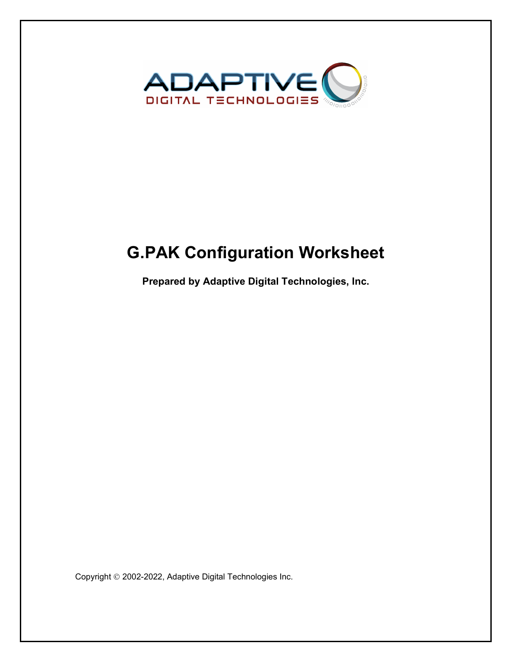

# **G.PAK Configuration Worksheet**

**Prepared by Adaptive Digital Technologies, Inc.**

Copyright 2002-2022, Adaptive Digital Technologies Inc.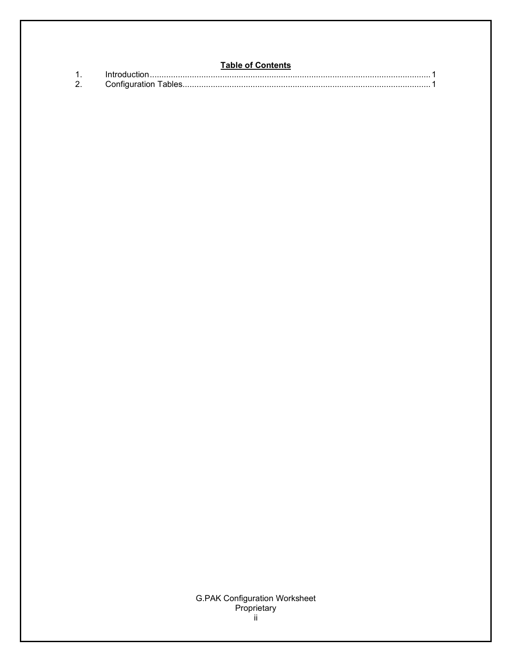## **Table of Contents**

|              | ייייי סייונייונט |  |
|--------------|------------------|--|
|              |                  |  |
| $\mathbf{2}$ |                  |  |

# **G.PAK Configuration Worksheet** Proprietary<br>ii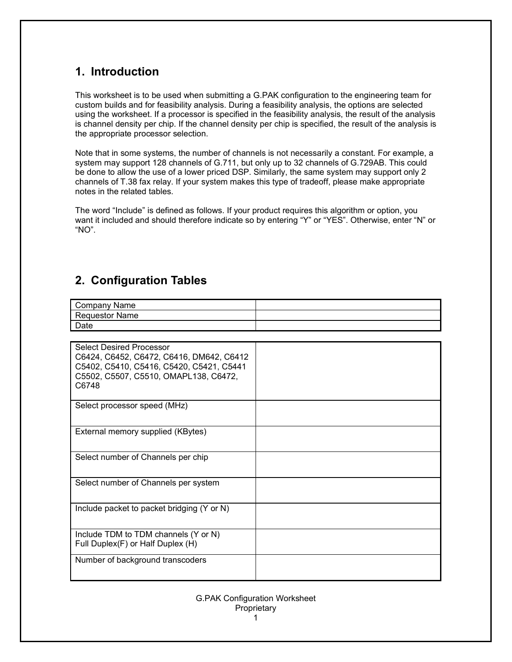# **1. Introduction**

This worksheet is to be used when submitting a G.PAK configuration to the engineering team for custom builds and for feasibility analysis. During a feasibility analysis, the options are selected using the worksheet. If a processor is specified in the feasibility analysis, the result of the analysis is channel density per chip. If the channel density per chip is specified, the result of the analysis is the appropriate processor selection.

Note that in some systems, the number of channels is not necessarily a constant. For example, a system may support 128 channels of G.711, but only up to 32 channels of G.729AB. This could be done to allow the use of a lower priced DSP. Similarly, the same system may support only 2 channels of T.38 fax relay. If your system makes this type of tradeoff, please make appropriate notes in the related tables.

The word "Include" is defined as follows. If your product requires this algorithm or option, you want it included and should therefore indicate so by entering "Y" or "YES". Otherwise, enter "N" or "NO".

# **2. Configuration Tables**

| Company Name          |  |
|-----------------------|--|
| <b>Requestor Name</b> |  |
| Date                  |  |
|                       |  |

| <b>Select Desired Processor</b><br>C6424, C6452, C6472, C6416, DM642, C6412<br>C5402, C5410, C5416, C5420, C5421, C5441<br>C5502, C5507, C5510, OMAPL138, C6472,<br>C6748 |  |
|---------------------------------------------------------------------------------------------------------------------------------------------------------------------------|--|
| Select processor speed (MHz)                                                                                                                                              |  |
| External memory supplied (KBytes)                                                                                                                                         |  |
| Select number of Channels per chip                                                                                                                                        |  |
| Select number of Channels per system                                                                                                                                      |  |
| Include packet to packet bridging (Y or N)                                                                                                                                |  |
| Include TDM to TDM channels (Y or N)<br>Full Duplex(F) or Half Duplex (H)                                                                                                 |  |
| Number of background transcoders                                                                                                                                          |  |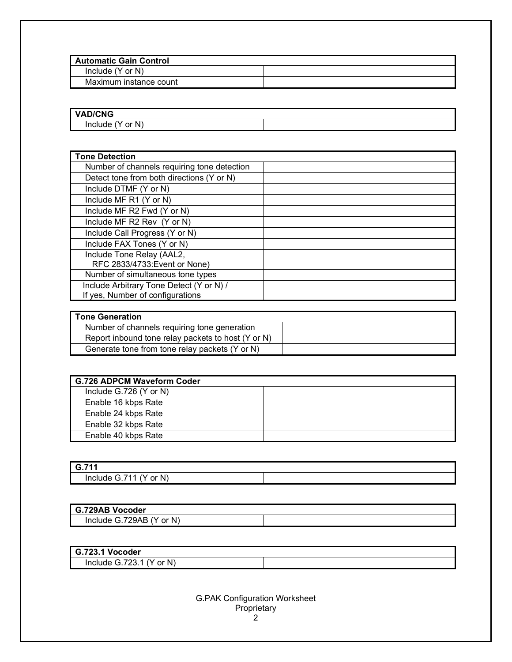| <b>Automatic Gain Control</b> |  |  |
|-------------------------------|--|--|
| Include $(Y$ or $N)$          |  |  |
| Maximum instance count        |  |  |

| <b>VAD/CNG</b>               |  |
|------------------------------|--|
| $\sim$<br>N<br>Include<br>or |  |

| <b>Tone Detection</b>                       |  |
|---------------------------------------------|--|
| Number of channels requiring tone detection |  |
| Detect tone from both directions (Y or N)   |  |
| Include DTMF (Y or N)                       |  |
| Include MF R1 (Y or N)                      |  |
| Include MF R2 Fwd (Y or N)                  |  |
| Include MF R2 Rev (Y or N)                  |  |
| Include Call Progress (Y or N)              |  |
| Include FAX Tones (Y or N)                  |  |
| Include Tone Relay (AAL2,                   |  |
| RFC 2833/4733: Event or None)               |  |
| Number of simultaneous tone types           |  |
| Include Arbitrary Tone Detect (Y or N) /    |  |
| If yes, Number of configurations            |  |

| <b>Tone Generation</b>                             |  |
|----------------------------------------------------|--|
| Number of channels requiring tone generation       |  |
| Report inbound tone relay packets to host (Y or N) |  |
| Generate tone from tone relay packets (Y or N)     |  |

| <b>G.726 ADPCM Waveform Coder</b> |  |
|-----------------------------------|--|
| Include $G.726$ (Y or N)          |  |
| Enable 16 kbps Rate               |  |
| Enable 24 kbps Rate               |  |
| Enable 32 kbps Rate               |  |
| Enable 40 kbps Rate               |  |

| G.71'                                                          |  |
|----------------------------------------------------------------|--|
| N<br>74<br><b>Include</b><br>-4<br>. .<br>or<br>$\overline{ }$ |  |

| G.729AB Vocoder                       |  |
|---------------------------------------|--|
| or N)<br>G.729AB<br>$\sim$<br>Include |  |

| G.723.1<br>. Vocoder                                             |  |
|------------------------------------------------------------------|--|
| N'<br>フへへ<br>or<br>'nclude ∖<br>$\overline{\phantom{a}}$<br>.ت ک |  |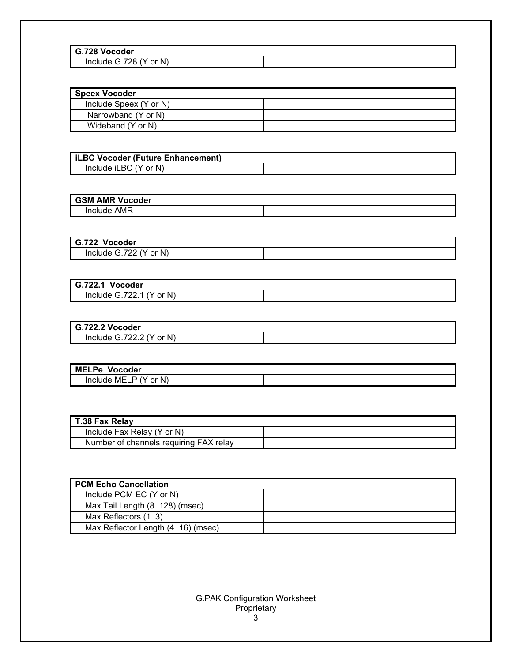| G.728 Vocoder                     |  |
|-----------------------------------|--|
| N<br>728.،<br>or<br>Include<br>۹u |  |

| <b>Speex Vocoder</b>   |  |
|------------------------|--|
| Include Speex (Y or N) |  |
| Narrowband (Y or N)    |  |
| Wideband (Y or N)      |  |

| iLBC Vocoder (Future Enhancement) |  |
|-----------------------------------|--|
| Include iLBC (Y or N)             |  |

## **GSM AMR Vocoder** Include AMR

| G.722<br>Vocoder          |  |
|---------------------------|--|
| Include G.722<br>or $N$ ) |  |

| Vocoder<br>G.722.1         |  |
|----------------------------|--|
| Include $G.722.1$ (Y or N) |  |

| G.722.2 Vocoder                |  |
|--------------------------------|--|
| or N)<br>Include $G.722.2$ (Y) |  |

| <b>MELPe</b><br>Vocoder               |  |
|---------------------------------------|--|
| or N <sup>1</sup><br>Include MELP (Y) |  |

| T.38 Fax Relay                         |  |
|----------------------------------------|--|
| Include Fax Relay (Y or N)             |  |
| Number of channels requiring FAX relay |  |

| <b>PCM Echo Cancellation</b>      |  |
|-----------------------------------|--|
| Include PCM EC (Y or N)           |  |
| Max Tail Length (8128) (msec)     |  |
| Max Reflectors (13)               |  |
| Max Reflector Length (416) (msec) |  |

## G.PAK Configuration Worksheet Proprietary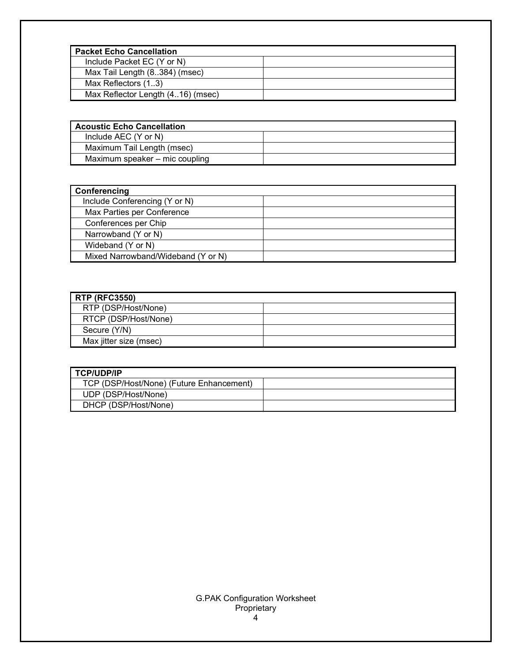| <b>Packet Echo Cancellation</b>   |  |
|-----------------------------------|--|
| Include Packet EC (Y or N)        |  |
| Max Tail Length (8384) (msec)     |  |
| Max Reflectors (13)               |  |
| Max Reflector Length (416) (msec) |  |

| <b>Acoustic Echo Cancellation</b> |  |
|-----------------------------------|--|
| Include AEC (Y or N)              |  |
| Maximum Tail Length (msec)        |  |
| Maximum speaker – mic coupling    |  |
|                                   |  |

| Conferencing                       |  |
|------------------------------------|--|
| Include Conferencing (Y or N)      |  |
| Max Parties per Conference         |  |
| Conferences per Chip               |  |
| Narrowband (Y or N)                |  |
| Wideband (Y or N)                  |  |
| Mixed Narrowband/Wideband (Y or N) |  |

| <b>RTP (RFC3550)</b>   |  |
|------------------------|--|
| RTP (DSP/Host/None)    |  |
| RTCP (DSP/Host/None)   |  |
| Secure (Y/N)           |  |
| Max jitter size (msec) |  |

| I TCP/UDP/IP                             |  |
|------------------------------------------|--|
| TCP (DSP/Host/None) (Future Enhancement) |  |
| UDP (DSP/Host/None)                      |  |
| DHCP (DSP/Host/None)                     |  |

## G.PAK Configuration Worksheet Proprietary